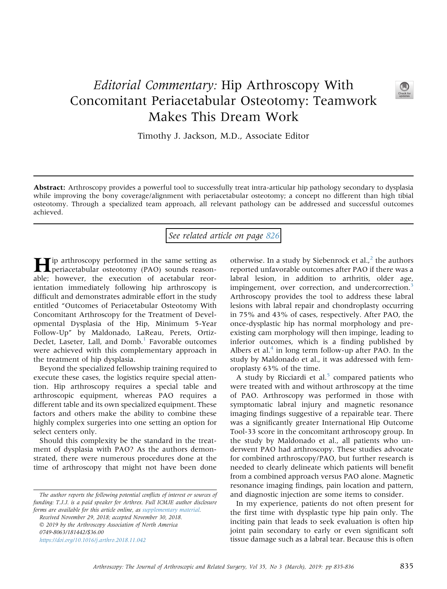## Editorial Commentary: Hip Arthroscopy With Concomitant Periacetabular Osteotomy: Teamwork Makes This Dream Work



Timothy J. Jackson, M.D., Associate Editor

Abstract: Arthroscopy provides a powerful tool to successfully treat intra-articular hip pathology secondary to dysplasia while improving the bony coverage/alignment with periacetabular osteotomy; a concept no different than high tibial osteotomy. Through a specialized team approach, all relevant pathology can be addressed and successful outcomes achieved.

## See related article on page [826](http://www.arthroscopyjournal.org/article/S0749-8063(18)31029-6/abstract)

Hip arthroscopy performed in the same setting as periacetabular osteotomy (PAO) sounds reasonable; however, the execution of acetabular reorientation immediately following hip arthroscopy is difficult and demonstrates admirable effort in the study entitled "Outcomes of Periacetabular Osteotomy With Concomitant Arthroscopy for the Treatment of Developmental Dysplasia of the Hip, Minimum 5-Year Follow-Up" by Maldonado, LaReau, Perets, Ortiz-Declet, Laseter, Lall, and Domb.<sup>[1](#page-1-0)</sup> Favorable outcomes were achieved with this complementary approach in the treatment of hip dysplasia.

Beyond the specialized fellowship training required to execute these cases, the logistics require special attention. Hip arthroscopy requires a special table and arthroscopic equipment, whereas PAO requires a different table and its own specialized equipment. These factors and others make the ability to combine these highly complex surgeries into one setting an option for select centers only.

Should this complexity be the standard in the treatment of dysplasia with PAO? As the authors demonstrated, there were numerous procedures done at the time of arthroscopy that might not have been done

The author reports the following potential conflicts of interest or sources of funding: T.J.J. is a paid speaker for Arthrex. Full ICMJE author disclosure forms are available for this article online, as supplementary material.

Received November 29, 2018; accepted November 30, 2018. 2019 by the Arthroscopy Association of North America 0749-8063/181442/\$36.00 <https://doi.org/10.1016/j.arthro.2018.11.042>

otherwise. In a study by Siebenrock et al., $<sup>2</sup>$  $<sup>2</sup>$  $<sup>2</sup>$  the authors</sup> reported unfavorable outcomes after PAO if there was a labral lesion, in addition to arthritis, older age, impingement, over correction, and undercorrection.<sup>[3](#page-1-0)</sup> Arthroscopy provides the tool to address these labral lesions with labral repair and chondroplasty occurring in 75% and 43% of cases, respectively. After PAO, the once-dysplastic hip has normal morphology and preexisting cam morphology will then impinge, leading to inferior outcomes, which is a finding published by Albers et al. $4$  in long term follow-up after PAO. In the study by Maldonado et al., it was addressed with femoroplasty 63% of the time.

A study by Ricciardi et al.<sup>[5](#page-1-0)</sup> compared patients who were treated with and without arthroscopy at the time of PAO. Arthroscopy was performed in those with symptomatic labral injury and magnetic resonance imaging findings suggestive of a repairable tear. There was a significantly greater International Hip Outcome Tool-33 score in the concomitant arthroscopy group. In the study by Maldonado et al., all patients who underwent PAO had arthroscopy. These studies advocate for combined arthroscopy/PAO, but further research is needed to clearly delineate which patients will benefit from a combined approach versus PAO alone. Magnetic resonance imaging findings, pain location and pattern, and diagnostic injection are some items to consider.

In my experience, patients do not often present for the first time with dysplastic type hip pain only. The inciting pain that leads to seek evaluation is often hip joint pain secondary to early or even significant soft tissue damage such as a labral tear. Because this is often